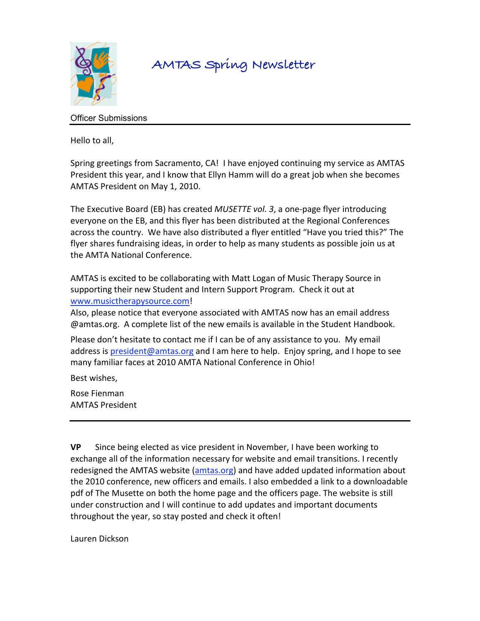

# **AMTAS Spring Newsletter**

# Officer Submissions

Hello
to
all,

Spring greetings from Sacramento, CA! I have enjoyed continuing my service as AMTAS President this year, and I know that Ellyn Hamm will do a great job when she becomes AMTAS
President
on
May
1,
2010.

The Executive Board (EB) has created *MUSETTE vol. 3*, a one-page flyer introducing everyone on the EB, and this flyer has been distributed at the Regional Conferences across the country. We have also distributed a flyer entitled "Have you tried this?" The flyer shares fundraising ideas, in order to help as many students as possible join us at the
AMTA
National
Conference.

AMTAS
is
excited
to
be
collaborating
with
Matt
Logan
of
Music
Therapy
Source
in supporting their new Student and Intern Support Program. Check it out at www.musictherapysource.com!

Also,
please
notice
that
everyone
associated
with
AMTAS
now
has
an
email
address @amtas.org. A
complete
list
of
the
new
emails
is
available
in
the
Student
Handbook.

Please don't hesitate to contact me if I can be of any assistance to you. My email address is president@amtas.org and I am here to help. Enjoy spring, and I hope to see many familiar faces at 2010 AMTA National Conference in Ohio!

Best
wishes,

Rose
Fienman AMTAS
President

**VP** Since being elected as vice president in November, I have been working to exchange all of the information necessary for website and email transitions. I recently redesigned the AMTAS website (amtas.org) and have added updated information about the 2010 conference, new officers and emails. I also embedded a link to a downloadable pdf
of
The
Musette
on
both
the
home
page
and
the
officers
page.
The
website
is
still under construction and I will continue to add updates and important documents throughout
the
year,
so
stay
posted
and
check
it
often!

Lauren
Dickson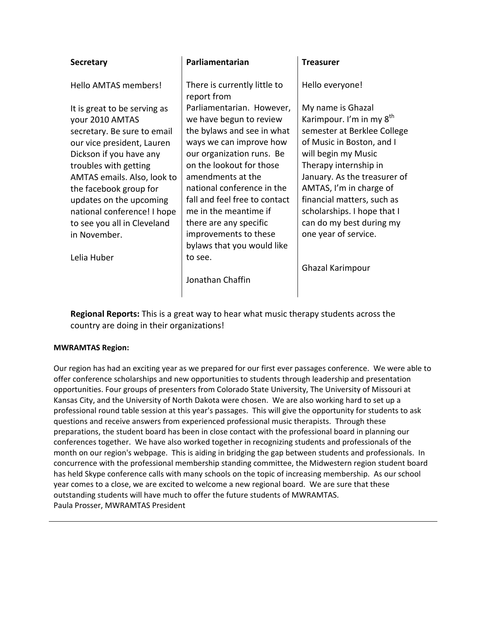| <b>Secretary</b>                                                                                                                                                                                                                                                                                                                   | Parliamentarian                                                                                                                                                                                                                                                                                                                        | <b>Treasurer</b>                                                                                                                                                                                                                                                                                                                                  |
|------------------------------------------------------------------------------------------------------------------------------------------------------------------------------------------------------------------------------------------------------------------------------------------------------------------------------------|----------------------------------------------------------------------------------------------------------------------------------------------------------------------------------------------------------------------------------------------------------------------------------------------------------------------------------------|---------------------------------------------------------------------------------------------------------------------------------------------------------------------------------------------------------------------------------------------------------------------------------------------------------------------------------------------------|
| Hello AMTAS members!                                                                                                                                                                                                                                                                                                               | There is currently little to<br>report from                                                                                                                                                                                                                                                                                            | Hello everyone!                                                                                                                                                                                                                                                                                                                                   |
| It is great to be serving as<br>your 2010 AMTAS<br>secretary. Be sure to email<br>our vice president, Lauren<br>Dickson if you have any<br>troubles with getting<br>AMTAS emails. Also, look to<br>the facebook group for<br>updates on the upcoming<br>national conference! I hope<br>to see you all in Cleveland<br>in November. | Parliamentarian. However,<br>we have begun to review<br>the bylaws and see in what<br>ways we can improve how<br>our organization runs. Be<br>on the lookout for those<br>amendments at the<br>national conference in the<br>fall and feel free to contact<br>me in the meantime if<br>there are any specific<br>improvements to these | My name is Ghazal<br>Karimpour. I'm in my 8 <sup>th</sup><br>semester at Berklee College<br>of Music in Boston, and I<br>will begin my Music<br>Therapy internship in<br>January. As the treasurer of<br>AMTAS, I'm in charge of<br>financial matters, such as<br>scholarships. I hope that I<br>can do my best during my<br>one year of service. |
|                                                                                                                                                                                                                                                                                                                                    | bylaws that you would like                                                                                                                                                                                                                                                                                                             |                                                                                                                                                                                                                                                                                                                                                   |
| Lelia Huber                                                                                                                                                                                                                                                                                                                        | to see.<br>Jonathan Chaffin                                                                                                                                                                                                                                                                                                            | Ghazal Karimpour                                                                                                                                                                                                                                                                                                                                  |

Regional Reports: This is a great way to hear what music therapy students across the country are doing in their organizations!

## **MWRAMTAS
Region:**

Our region has had an exciting year as we prepared for our first ever passages conference. We were able to offer
conference
scholarships
and
new
opportunities
to
students
through
leadership
and
presentation opportunities.
Four
groups
of
presenters
from
Colorado
State
University,
The
University
of
Missouri
at Kansas City, and the University of North Dakota were chosen. We are also working hard to set up a professional round table session at this year's passages. This will give the opportunity for students to ask questions
and
receive
answers
from
experienced
professional
music
therapists. Through
these preparations, the student board has been in close contact with the professional board in planning our conferences together. We have also worked together in recognizing students and professionals of the month on our region's webpage. This is aiding in bridging the gap between students and professionals. In concurrence
with
the
professional
membership
standing
committee,
the
Midwestern
region
student
board has held Skype conference calls with many schools on the topic of increasing membership. As our school year comes to a close, we are excited to welcome a new regional board. We are sure that these outstanding
students
will
have
much
to
offer
the
future
students
of
MWRAMTAS. Paula
Prosser,
MWRAMTAS
President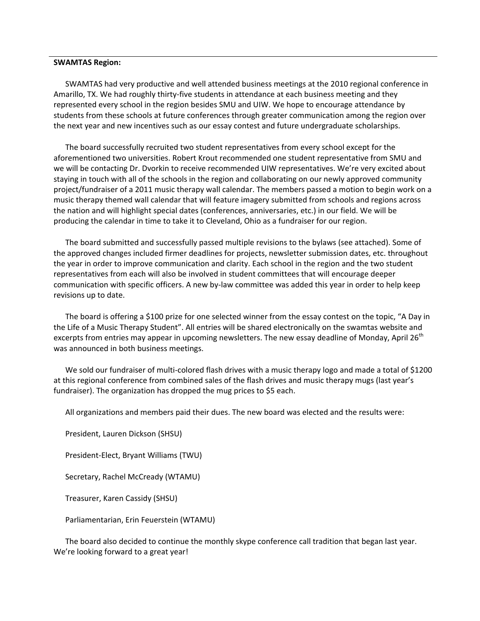#### **SWAMTAS
Region:**

SWAMTAS
had
very
productive
and
well
attended
business
meetings
at
the
2010
regional
conference
in Amarillo, TX. We had roughly thirty-five students in attendance at each business meeting and they represented
every
school
in
the
region
besides
SMU
and
UIW.
We
hope
to
encourage
attendance
by students
from
these
schools
at
future
conferences
through
greater
communication
among
the
region
over the
next
year
and
new
incentives
such
as
our
essay
contest
and
future
undergraduate
scholarships.

The
board
successfully
recruited
two
student
representatives
from
every
school
except
for
the aforementioned
two
universities.
Robert
Krout
recommended
one
student
representative
from
SMU
and we will be contacting Dr. Dvorkin to receive recommended UIW representatives. We're very excited about staying in touch with all of the schools in the region and collaborating on our newly approved community project/fundraiser of a 2011 music therapy wall calendar. The members passed a motion to begin work on a music
therapy
themed
wall
calendar
that
will
feature
imagery
submitted
from
schools
and
regions
across the nation and will highlight special dates (conferences, anniversaries, etc.) in our field. We will be producing
the
calendar
in
time
to
take
it
to
Cleveland,
Ohio
as
a
fundraiser
for
our
region.

The board submitted and successfully passed multiple revisions to the bylaws (see attached). Some of the
approved
changes
included
firmer
deadlines
for
projects,
newsletter
submission
dates,
etc.
throughout the year in order to improve communication and clarity. Each school in the region and the two student representatives
from
each
will
also
be
involved
in
student
committees
that
will
encourage
deeper communication with specific officers. A new by-law committee was added this year in order to help keep revisions
up
to
date.

The board is offering a \$100 prize for one selected winner from the essay contest on the topic, "A Day in the Life of a Music Therapy Student". All entries will be shared electronically on the swamtas website and excerpts from entries may appear in upcoming newsletters. The new essay deadline of Monday, April 26<sup>th</sup> was
announced
in
both
business
meetings.

We sold our fundraiser of multi-colored flash drives with a music therapy logo and made a total of \$1200 at this regional conference from combined sales of the flash drives and music therapy mugs (last year's fundraiser). The organization has dropped the mug prices to \$5 each.

All
organizations
and
members
paid
their
dues.
The
new
board
was
elected
and
the
results
were:

President,
Lauren
Dickson
(SHSU)

President‐Elect,
Bryant
Williams
(TWU)

Secretary,
Rachel
McCready
(WTAMU)

Treasurer,
Karen
Cassidy
(SHSU)

Parliamentarian,
Erin
Feuerstein
(WTAMU)

The board also decided to continue the monthly skype conference call tradition that began last year. We're looking forward to a great year!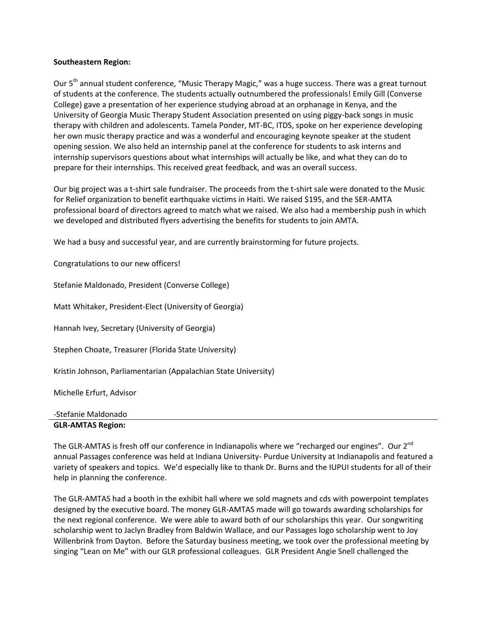### **Southeastern
Region:**

Our 5<sup>th</sup> annual student conference, "Music Therapy Magic," was a huge success. There was a great turnout of
students
at
the
conference.
The
students
actually
outnumbered
the
professionals!
Emily
Gill
(Converse College) gave a presentation of her experience studying abroad at an orphanage in Kenya, and the University of Georgia Music Therapy Student Association presented on using piggy-back songs in music therapy
with
children
and
adolescents.
Tamela
Ponder,
MT‐BC,
ITDS,
spoke
on
her
experience
developing her own music therapy practice and was a wonderful and encouraging keynote speaker at the student opening
session.
We
also
held
an
internship
panel
at
the
conference
for
students
to
ask
interns
and internship supervisors questions about what internships will actually be like, and what they can do to prepare
for
their
internships.
This
received
great
feedback,
and
was
an
overall
success.

Our big project was a t-shirt sale fundraiser. The proceeds from the t-shirt sale were donated to the Music for Relief organization to benefit earthquake victims in Haiti. We raised \$195, and the SER-AMTA professional
board
of
directors
agreed
to
match
what
we
raised.
We
also
had
a
membership
push
in
which we developed and distributed flyers advertising the benefits for students to join AMTA.

We had a busy and successful year, and are currently brainstorming for future projects.

Congratulations to our new officers!

Stefanie
Maldonado,
President
(Converse
College)

Matt
Whitaker,
President‐Elect
(University
of
Georgia)

Hannah
Ivey,
Secretary
(University
of
Georgia)

Stephen
Choate,
Treasurer
(Florida
State
University)

Kristin
Johnson,
Parliamentarian
(Appalachian
State
University)

Michelle
Erfurt,
Advisor

|  |  | -Stefanie Maldonado |
|--|--|---------------------|
|--|--|---------------------|

## **GLR‐AMTAS
Region:**

The GLR-AMTAS is fresh off our conference in Indianapolis where we "recharged our engines". Our 2<sup>nd</sup> annual Passages conference was held at Indiana University- Purdue University at Indianapolis and featured a variety of speakers and topics. We'd especially like to thank Dr. Burns and the IUPUI students for all of their help
in
planning
the
conference.

The GLR-AMTAS had a booth in the exhibit hall where we sold magnets and cds with powerpoint templates designed by the executive board. The money GLR-AMTAS made will go towards awarding scholarships for the next regional conference. We were able to award both of our scholarships this year. Our songwriting scholarship went to Jaclyn Bradley from Baldwin Wallace, and our Passages logo scholarship went to Joy Willenbrink from Dayton. Before the Saturday business meeting, we took over the professional meeting by singing "Lean on Me" with our GLR professional colleagues. GLR President Angie Snell challenged the